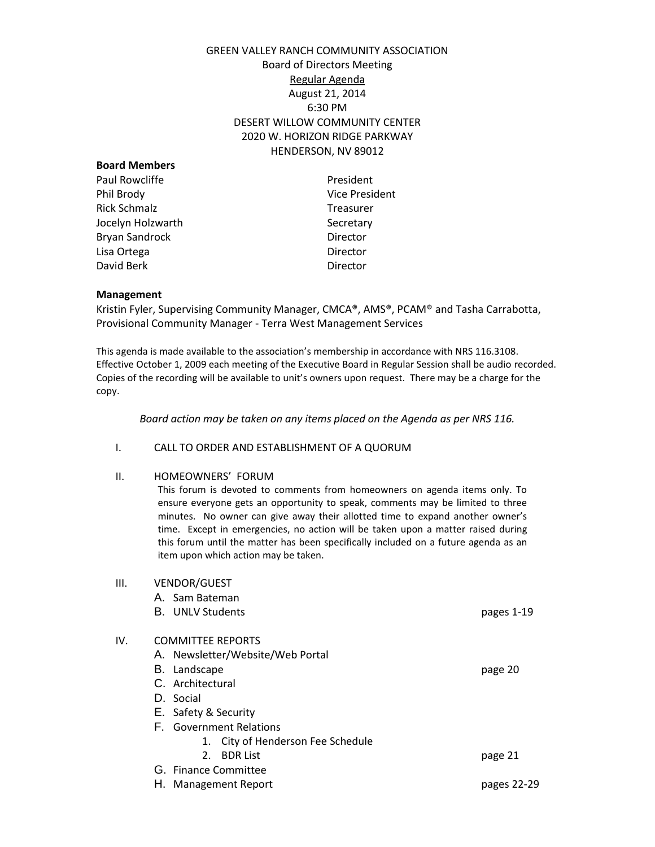# GREEN VALLEY RANCH COMMUNITY ASSOCIATION Board of Directors Meeting Regular Agenda August 21, 2014 6:30 PM DESERT WILLOW COMMUNITY CENTER 2020 W. HORIZON RIDGE PARKWAY HENDERSON, NV 89012

| <b>Board Members</b> |                       |
|----------------------|-----------------------|
| Paul Rowcliffe       | President             |
| Phil Brody           | <b>Vice President</b> |
| <b>Rick Schmalz</b>  | <b>Treasurer</b>      |
| Jocelyn Holzwarth    | Secretary             |
| Bryan Sandrock       | Director              |
| Lisa Ortega          | Director              |
| David Berk           | Director              |
|                      |                       |

#### **Management**

Kristin Fyler, Supervising Community Manager, CMCA®, AMS®, PCAM® and Tasha Carrabotta, Provisional Community Manager - Terra West Management Services

This agenda is made available to the association's membership in accordance with NRS 116.3108. Effective October 1, 2009 each meeting of the Executive Board in Regular Session shall be audio recorded. Copies of the recording will be available to unit's owners upon request. There may be a charge for the copy.

*Board action may be taken on any items placed on the Agenda as per NRS 116.*

#### I. CALL TO ORDER AND ESTABLISHMENT OF A QUORUM

#### II. HOMEOWNERS' FORUM

This forum is devoted to comments from homeowners on agenda items only. To ensure everyone gets an opportunity to speak, comments may be limited to three minutes. No owner can give away their allotted time to expand another owner's time. Except in emergencies, no action will be taken upon a matter raised during this forum until the matter has been specifically included on a future agenda as an item upon which action may be taken.

| Ш.  | <b>VENDOR/GUEST</b>               |             |
|-----|-----------------------------------|-------------|
|     | A. Sam Bateman                    |             |
|     | <b>B.</b> UNLV Students           | pages 1-19  |
| IV. | <b>COMMITTEE REPORTS</b>          |             |
|     | A. Newsletter/Website/Web Portal  |             |
|     | B. Landscape                      | page 20     |
|     | C. Architectural                  |             |
|     | D. Social                         |             |
|     | E. Safety & Security              |             |
|     | <b>F.</b> Government Relations    |             |
|     | 1. City of Henderson Fee Schedule |             |
|     | <b>BDR List</b><br>2 <sub>1</sub> | page 21     |
|     | G. Finance Committee              |             |
|     | H. Management Report              | pages 22-29 |
|     |                                   |             |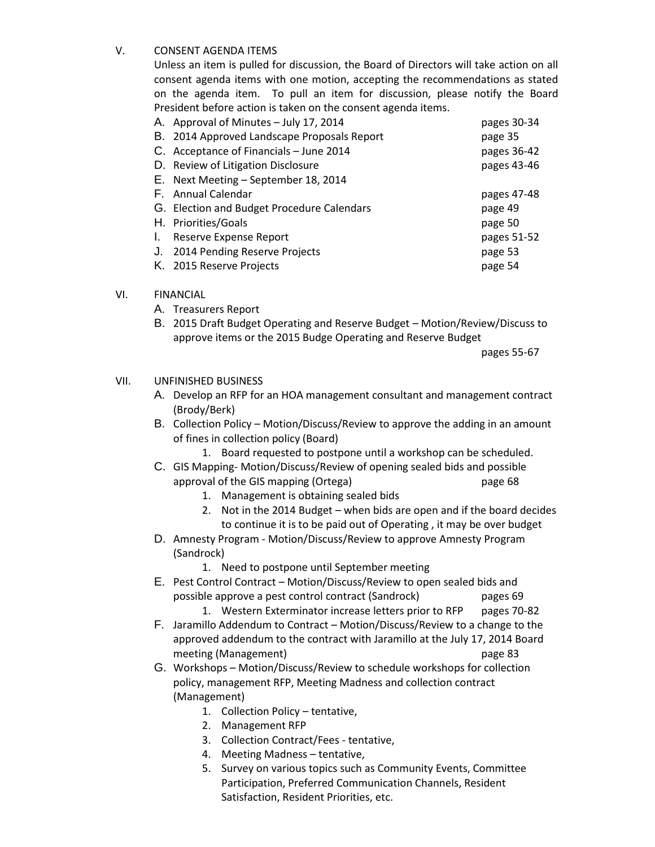# V. CONSENT AGENDA ITEMS

Unless an item is pulled for discussion, the Board of Directors will take action on all consent agenda items with one motion, accepting the recommendations as stated on the agenda item. To pull an item for discussion, please notify the Board President before action is taken on the consent agenda items.

|    | A. Approval of Minutes - July 17, 2014      | pages 30-34 |
|----|---------------------------------------------|-------------|
|    | B. 2014 Approved Landscape Proposals Report | page 35     |
|    | C. Acceptance of Financials - June 2014     | pages 36-42 |
|    | D. Review of Litigation Disclosure          | pages 43-46 |
|    | E. Next Meeting - September 18, 2014        |             |
|    | F. Annual Calendar                          | pages 47-48 |
|    | G. Election and Budget Procedure Calendars  | page 49     |
|    | H. Priorities/Goals                         | page 50     |
| Ι. | Reserve Expense Report                      | pages 51-52 |
|    | J. 2014 Pending Reserve Projects            | page 53     |
|    | K. 2015 Reserve Projects                    | page 54     |

# VI. FINANCIAL

- A. Treasurers Report
- B. 2015 Draft Budget Operating and Reserve Budget Motion/Review/Discuss to approve items or the 2015 Budge Operating and Reserve Budget

pages 55-67

## VII. UNFINISHED BUSINESS

- A. Develop an RFP for an HOA management consultant and management contract (Brody/Berk)
- B. Collection Policy Motion/Discuss/Review to approve the adding in an amount of fines in collection policy (Board)
	- 1. Board requested to postpone until a workshop can be scheduled.
- C. GIS Mapping- Motion/Discuss/Review of opening sealed bids and possible approval of the GIS mapping (Ortega) and page 68
	- 1. Management is obtaining sealed bids
	- 2. Not in the 2014 Budget when bids are open and if the board decides to continue it is to be paid out of Operating , it may be over budget
- D. Amnesty Program Motion/Discuss/Review to approve Amnesty Program (Sandrock)
	- 1. Need to postpone until September meeting
- E. Pest Control Contract Motion/Discuss/Review to open sealed bids and possible approve a pest control contract (Sandrock) pages 69
	- 1. Western Exterminator increase letters prior to RFP pages 70-82
- F. Jaramillo Addendum to Contract Motion/Discuss/Review to a change to the approved addendum to the contract with Jaramillo at the July 17, 2014 Board meeting (Management) and the control of the page 83
- G. Workshops Motion/Discuss/Review to schedule workshops for collection policy, management RFP, Meeting Madness and collection contract (Management)
	- 1. Collection Policy tentative,
	- 2. Management RFP
	- 3. Collection Contract/Fees tentative,
	- 4. Meeting Madness tentative,
	- 5. Survey on various topics such as Community Events, Committee Participation, Preferred Communication Channels, Resident Satisfaction, Resident Priorities, etc.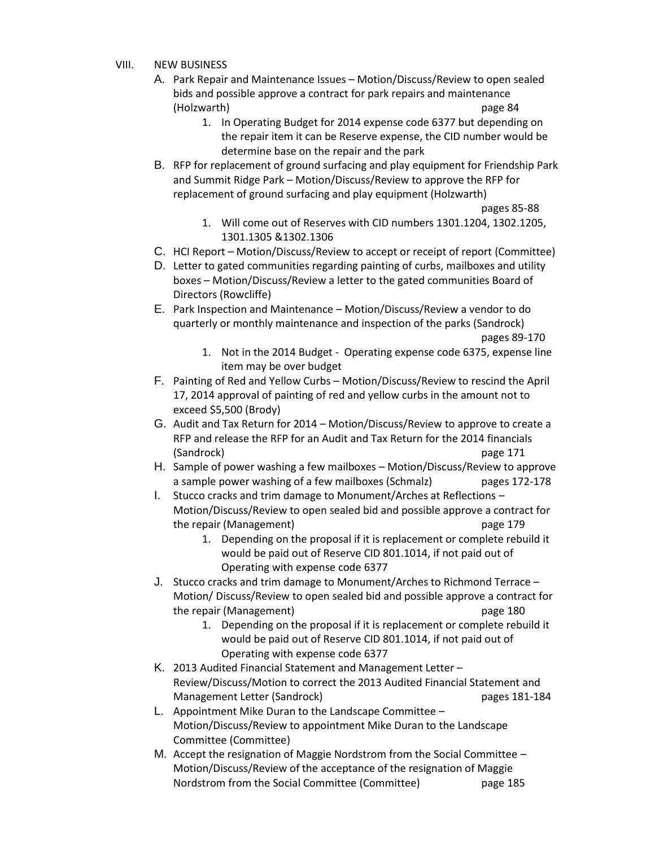- VIII. NEW BUSINESS
	- A. Park Repair and Maintenance Issues Motion/Discuss/Review to open sealed bids and possible approve a contract for park repairs and maintenance (Holzwarth) page 84
		- 1. In Operating Budget for 2014 expense code 6377 but depending on the repair item it can be Reserve expense, the CID number would be determine base on the repair and the park
	- B. RFP for replacement of ground surfacing and play equipment for Friendship Park and Summit Ridge Park – Motion/Discuss/Review to approve the RFP for replacement of ground surfacing and play equipment (Holzwarth)
		- pages 85-88
		- 1. Will come out of Reserves with CID numbers 1301.1204, 1302.1205, 1301.1305 &1302.1306
	- C. HCI Report Motion/Discuss/Review to accept or receipt of report (Committee)
	- D. Letter to gated communities regarding painting of curbs, mailboxes and utility boxes – Motion/Discuss/Review a letter to the gated communities Board of Directors (Rowcliffe)
	- E. Park Inspection and Maintenance Motion/Discuss/Review a vendor to do quarterly or monthly maintenance and inspection of the parks (Sandrock) pages 89-170
		- 1. Not in the 2014 Budget Operating expense code 6375, expense line item may be over budget
	- F. Painting of Red and Yellow Curbs Motion/Discuss/Review to rescind the April 17, 2014 approval of painting of red and yellow curbs in the amount not to exceed \$5,500 (Brody)
	- G. Audit and Tax Return for 2014 Motion/Discuss/Review to approve to create a RFP and release the RFP for an Audit and Tax Return for the 2014 financials (Sandrock) page 171
	- H. Sample of power washing a few mailboxes Motion/Discuss/Review to approve a sample power washing of a few mailboxes (Schmalz) pages 172-178
	- I. Stucco cracks and trim damage to Monument/Arches at Reflections Motion/Discuss/Review to open sealed bid and possible approve a contract for the repair (Management) and the repair (Management) bage 179
		- 1. Depending on the proposal if it is replacement or complete rebuild it would be paid out of Reserve CID 801.1014, if not paid out of Operating with expense code 6377
	- J. Stucco cracks and trim damage to Monument/Arches to Richmond Terrace Motion/ Discuss/Review to open sealed bid and possible approve a contract for the repair (Management) and the repair (Management) and the repair of the repair  $p$ 
		- 1. Depending on the proposal if it is replacement or complete rebuild it would be paid out of Reserve CID 801.1014, if not paid out of Operating with expense code 6377
	- K. 2013 Audited Financial Statement and Management Letter Review/Discuss/Motion to correct the 2013 Audited Financial Statement and Management Letter (Sandrock) pages 181-184
	- L. Appointment Mike Duran to the Landscape Committee Motion/Discuss/Review to appointment Mike Duran to the Landscape Committee (Committee)
	- M. Accept the resignation of Maggie Nordstrom from the Social Committee Motion/Discuss/Review of the acceptance of the resignation of Maggie Nordstrom from the Social Committee (Committee) page 185